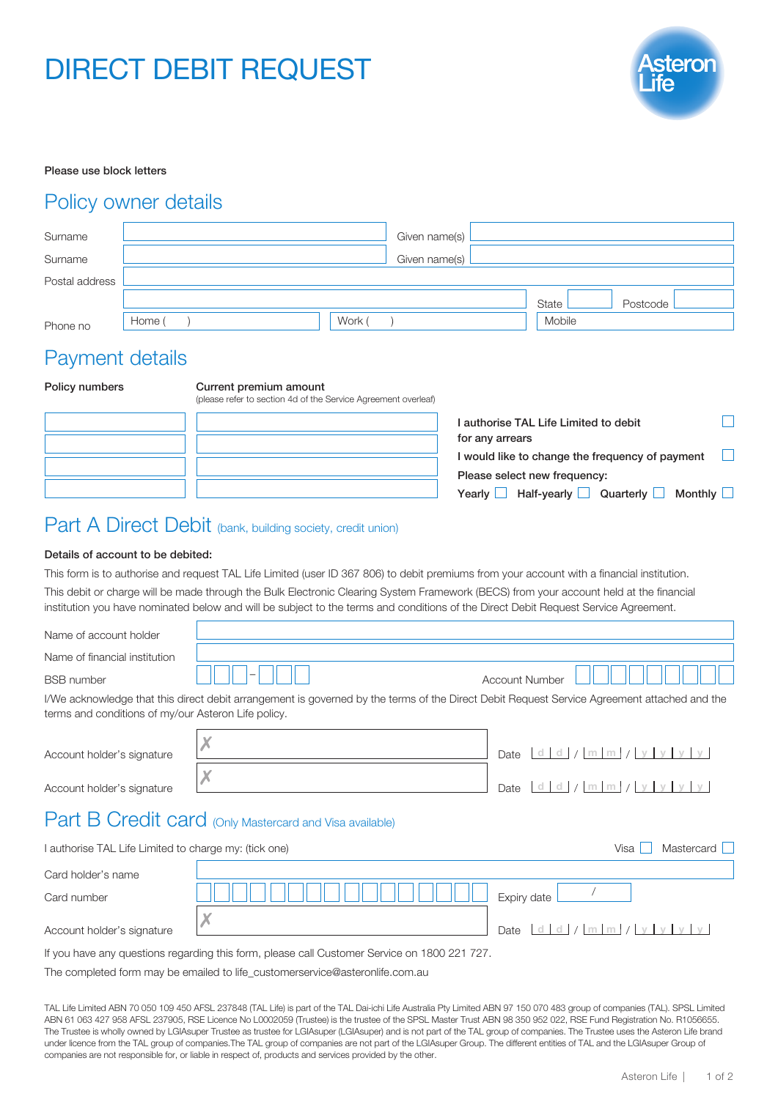# DIRECT DEBIT REQUEST



### Please use block letters

### Policy owner details

| Surname        |        |        | Given name(s) |        |          |  |
|----------------|--------|--------|---------------|--------|----------|--|
| Surname        |        |        | Given name(s) |        |          |  |
| Postal address |        |        |               |        |          |  |
|                |        |        |               | State  | Postcode |  |
| Phone no       | Home ( | Work ( |               | Mobile |          |  |

## Payment details

| Policy numbers | Current premium amount<br>(please refer to section 4d of the Service Agreement overleaf) |                                                                      |
|----------------|------------------------------------------------------------------------------------------|----------------------------------------------------------------------|
|                |                                                                                          | l authorise TAL Life Limited to debit<br>for any arrears             |
|                |                                                                                          | I would like to change the frequency of payment                      |
|                |                                                                                          | Please select new frequency:                                         |
|                |                                                                                          | Half-yearly $\Box$<br>Quarterly $\Box$<br>Monthly L<br>Yearly $\Box$ |

# Part A Direct Debit (bank, building society, credit union)

### Details of account to be debited:

This form is to authorise and request TAL Life Limited (user ID 367 806) to debit premiums from your account with a financial institution. This debit or charge will be made through the Bulk Electronic Clearing System Framework (BECS) from your account held at the financial institution you have nominated below and will be subject to the terms and conditions of the Direct Debit Request Service Agreement.

| Name of account holder                                                        |                                                                                                                                             |                              |  |  |  |  |
|-------------------------------------------------------------------------------|---------------------------------------------------------------------------------------------------------------------------------------------|------------------------------|--|--|--|--|
| Name of financial institution                                                 |                                                                                                                                             |                              |  |  |  |  |
| <b>BSB</b> number                                                             |                                                                                                                                             | <b>Account Number</b>        |  |  |  |  |
| terms and conditions of my/our Asteron Life policy.                           | I/We acknowledge that this direct debit arrangement is governed by the terms of the Direct Debit Request Service Agreement attached and the |                              |  |  |  |  |
| Account holder's signature                                                    |                                                                                                                                             | d d / m m / y y y y <br>Date |  |  |  |  |
| Account holder's signature                                                    |                                                                                                                                             | d d / m m / y y y y <br>Date |  |  |  |  |
|                                                                               | Part B Credit card (Only Mastercard and Visa available)                                                                                     |                              |  |  |  |  |
| Mastercard L<br>Visa<br>I authorise TAL Life Limited to charge my: (tick one) |                                                                                                                                             |                              |  |  |  |  |
| Card holder's name                                                            |                                                                                                                                             |                              |  |  |  |  |
| Card number                                                                   |                                                                                                                                             | Expiry date                  |  |  |  |  |
| Account holder's signature                                                    |                                                                                                                                             | $m \mid m$<br>Date           |  |  |  |  |

If you have any questions regarding this form, please call Customer Service on 1800 221 727.

The completed form may be emailed to life\_customerservice@asteronlife.com.au

TAL Life Limited ABN 70 050 109 450 AFSL 237848 (TAL Life) is part of the TAL Dai-ichi Life Australia Pty Limited ABN 97 150 070 483 group of companies (TAL). SPSL Limited ABN 61 063 427 958 AFSL 237905, RSE Licence No L0002059 (Trustee) is the trustee of the SPSL Master Trust ABN 98 350 952 022, RSE Fund Registration No. R1056655. The Trustee is wholly owned by LGIAsuper Trustee as trustee for LGIAsuper (LGIAsuper) and is not part of the TAL group of companies. The Trustee uses the Asteron Life brand under licence from the TAL group of companies.The TAL group of companies are not part of the LGIAsuper Group. The different entities of TAL and the LGIAsuper Group of companies are not responsible for, or liable in respect of, products and services provided by the other.